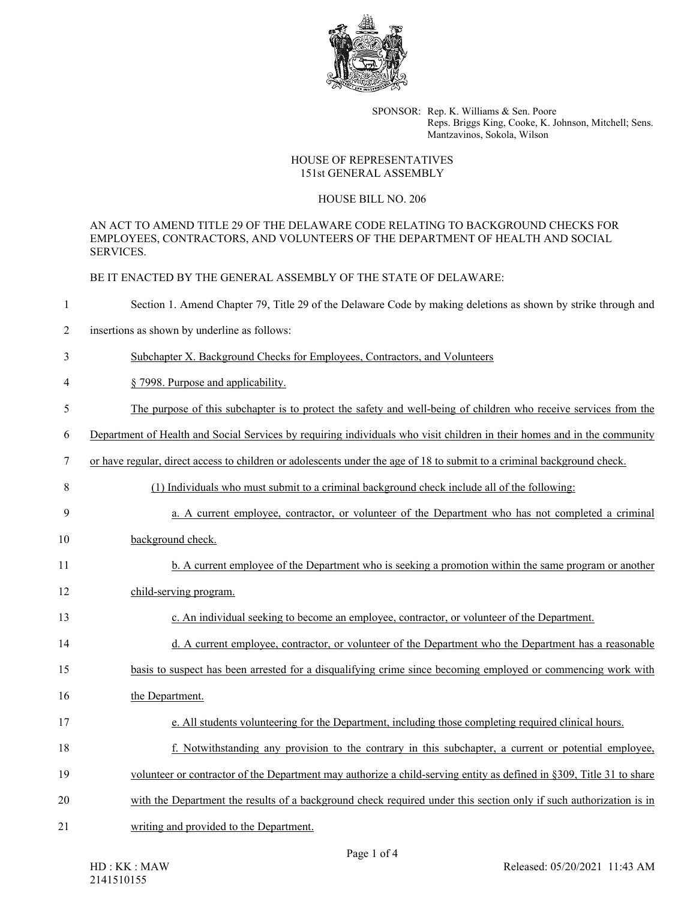

SPONSOR: Rep. K. Williams & Sen. Poore Reps. Briggs King, Cooke, K. Johnson, Mitchell; Sens. Mantzavinos, Sokola, Wilson

## HOUSE OF REPRESENTATIVES 151st GENERAL ASSEMBLY

## HOUSE BILL NO. 206

AN ACT TO AMEND TITLE 29 OF THE DELAWARE CODE RELATING TO BACKGROUND CHECKS FOR EMPLOYEES, CONTRACTORS, AND VOLUNTEERS OF THE DEPARTMENT OF HEALTH AND SOCIAL SERVICES.

BE IT ENACTED BY THE GENERAL ASSEMBLY OF THE STATE OF DELAWARE:

| 1              | Section 1. Amend Chapter 79, Title 29 of the Delaware Code by making deletions as shown by strike through and            |
|----------------|--------------------------------------------------------------------------------------------------------------------------|
| $\overline{c}$ | insertions as shown by underline as follows:                                                                             |
| 3              | Subchapter X. Background Checks for Employees, Contractors, and Volunteers                                               |
| 4              | § 7998. Purpose and applicability.                                                                                       |
| 5              | The purpose of this subchapter is to protect the safety and well-being of children who receive services from the         |
| 6              | Department of Health and Social Services by requiring individuals who visit children in their homes and in the community |
| 7              | or have regular, direct access to children or adolescents under the age of 18 to submit to a criminal background check.  |
| 8              | (1) Individuals who must submit to a criminal background check include all of the following:                             |
| 9              | a. A current employee, contractor, or volunteer of the Department who has not completed a criminal                       |
| 10             | background check.                                                                                                        |
| 11             | b. A current employee of the Department who is seeking a promotion within the same program or another                    |
| 12             | child-serving program.                                                                                                   |
| 13             | c. An individual seeking to become an employee, contractor, or volunteer of the Department.                              |
| 14             | d. A current employee, contractor, or volunteer of the Department who the Department has a reasonable                    |
| 15             | basis to suspect has been arrested for a disqualifying crime since becoming employed or commencing work with             |
| 16             | the Department.                                                                                                          |
| 17             | e. All students volunteering for the Department, including those completing required clinical hours.                     |
| 18             | f. Notwithstanding any provision to the contrary in this subchapter, a current or potential employee,                    |
| 19             | volunteer or contractor of the Department may authorize a child-serving entity as defined in §309, Title 31 to share     |
| 20             | with the Department the results of a background check required under this section only if such authorization is in       |
| 21             | writing and provided to the Department.                                                                                  |
|                | $D_{\text{max}} 1 \cdot \mathcal{L}$                                                                                     |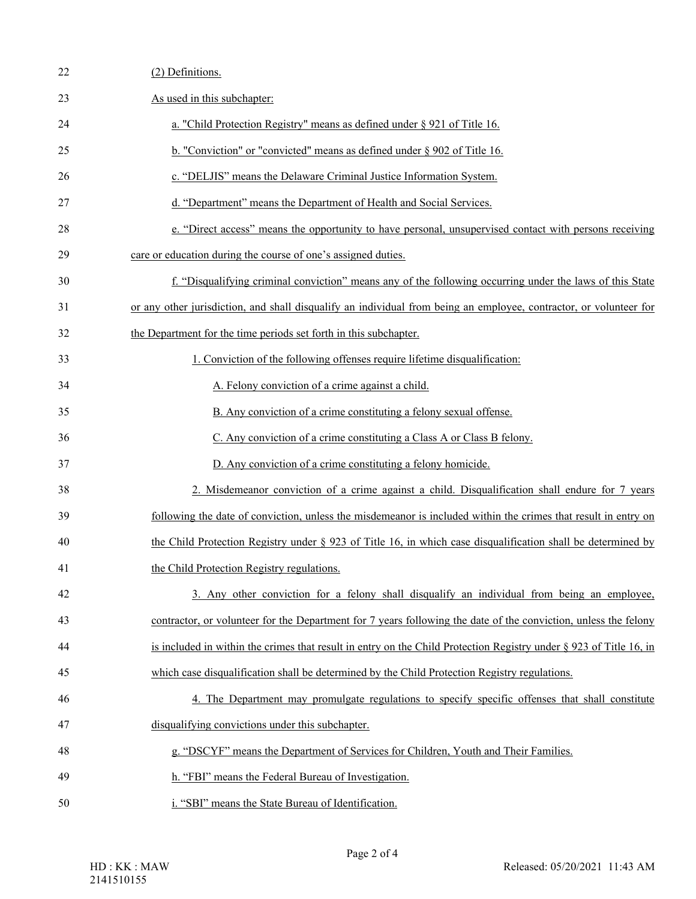| 22 | (2) Definitions.                                                                                                      |
|----|-----------------------------------------------------------------------------------------------------------------------|
| 23 | As used in this subchapter:                                                                                           |
| 24 | a. "Child Protection Registry" means as defined under § 921 of Title 16.                                              |
| 25 | b. "Conviction" or "convicted" means as defined under $\S 902$ of Title 16.                                           |
| 26 | c. "DELJIS" means the Delaware Criminal Justice Information System.                                                   |
| 27 | d. "Department" means the Department of Health and Social Services.                                                   |
| 28 | e. "Direct access" means the opportunity to have personal, unsupervised contact with persons receiving                |
| 29 | care or education during the course of one's assigned duties.                                                         |
| 30 | f. "Disqualifying criminal conviction" means any of the following occurring under the laws of this State              |
| 31 | or any other jurisdiction, and shall disqualify an individual from being an employee, contractor, or volunteer for    |
| 32 | the Department for the time periods set forth in this subchapter.                                                     |
| 33 | 1. Conviction of the following offenses require lifetime disqualification:                                            |
| 34 | A. Felony conviction of a crime against a child.                                                                      |
| 35 | B. Any conviction of a crime constituting a felony sexual offense.                                                    |
| 36 | C. Any conviction of a crime constituting a Class A or Class B felony.                                                |
| 37 | D. Any conviction of a crime constituting a felony homicide.                                                          |
| 38 | 2. Misdemeanor conviction of a crime against a child. Disqualification shall endure for 7 years                       |
| 39 | following the date of conviction, unless the misdemeanor is included within the crimes that result in entry on        |
| 40 | the Child Protection Registry under $\S$ 923 of Title 16, in which case disqualification shall be determined by       |
| 41 | the Child Protection Registry regulations.                                                                            |
| 42 | 3. Any other conviction for a felony shall disqualify an individual from being an employee,                           |
| 43 | contractor, or volunteer for the Department for 7 years following the date of the conviction, unless the felony       |
| 44 | is included in within the crimes that result in entry on the Child Protection Registry under $\S 923$ of Title 16, in |
| 45 | which case disqualification shall be determined by the Child Protection Registry regulations.                         |
| 46 | 4. The Department may promulgate regulations to specify specific offenses that shall constitute                       |
| 47 | disqualifying convictions under this subchapter.                                                                      |
| 48 | g. "DSCYF" means the Department of Services for Children, Youth and Their Families.                                   |
| 49 | h. "FBI" means the Federal Bureau of Investigation.                                                                   |
| 50 | i. "SBI" means the State Bureau of Identification.                                                                    |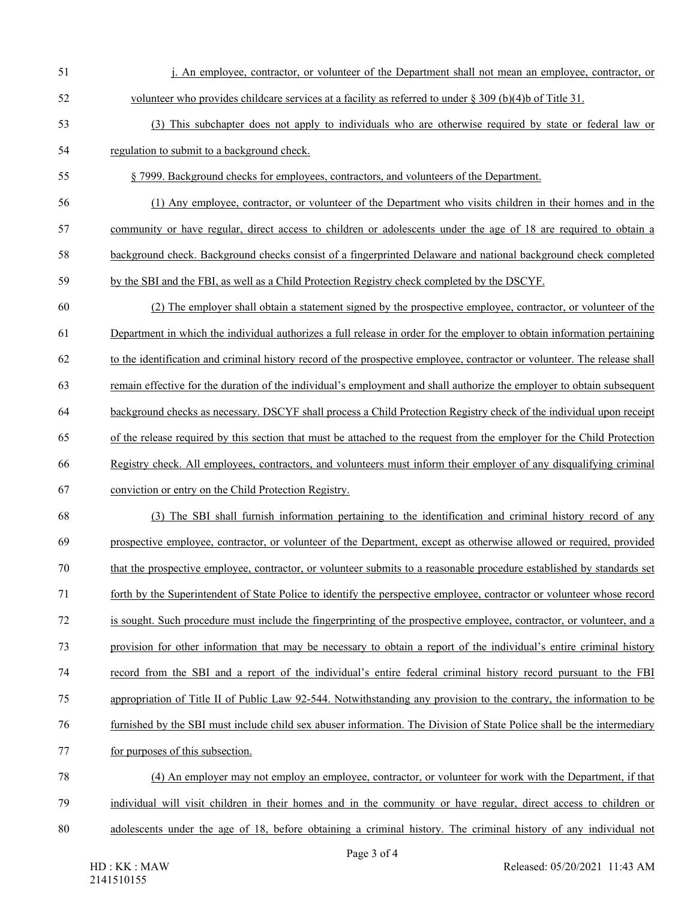51 j. An employee, contractor, or volunteer of the Department shall not mean an employee, contractor, or 52 volunteer who provides childcare services at a facility as referred to under § 309 (b)(4)b of Title 31. 53 (3) This subchapter does not apply to individuals who are otherwise required by state or federal law or 54 regulation to submit to a background check. 55 § 7999. Background checks for employees, contractors, and volunteers of the Department. 56 (1) Any employee, contractor, or volunteer of the Department who visits children in their homes and in the 57 community or have regular, direct access to children or adolescents under the age of 18 are required to obtain a 58 background check. Background checks consist of a fingerprinted Delaware and national background check completed 59 by the SBI and the FBI, as well as a Child Protection Registry check completed by the DSCYF. 60 (2) The employer shall obtain a statement signed by the prospective employee, contractor, or volunteer of the 61 Department in which the individual authorizes a full release in order for the employer to obtain information pertaining 62 to the identification and criminal history record of the prospective employee, contractor or volunteer. The release shall 63 remain effective for the duration of the individual's employment and shall authorize the employer to obtain subsequent 64 background checks as necessary. DSCYF shall process a Child Protection Registry check of the individual upon receipt 65 of the release required by this section that must be attached to the request from the employer for the Child Protection 66 Registry check. All employees, contractors, and volunteers must inform their employer of any disqualifying criminal 67 conviction or entry on the Child Protection Registry. 68 (3) The SBI shall furnish information pertaining to the identification and criminal history record of any 69 prospective employee, contractor, or volunteer of the Department, except as otherwise allowed or required, provided 70 that the prospective employee, contractor, or volunteer submits to a reasonable procedure established by standards set 71 forth by the Superintendent of State Police to identify the perspective employee, contractor or volunteer whose record 72 is sought. Such procedure must include the fingerprinting of the prospective employee, contractor, or volunteer, and a 73 provision for other information that may be necessary to obtain a report of the individual's entire criminal history 74 record from the SBI and a report of the individual's entire federal criminal history record pursuant to the FBI 75 appropriation of Title II of Public Law 92-544. Notwithstanding any provision to the contrary, the information to be 76 furnished by the SBI must include child sex abuser information. The Division of State Police shall be the intermediary 77 for purposes of this subsection. 78 (4) An employer may not employ an employee, contractor, or volunteer for work with the Department, if that 79 individual will visit children in their homes and in the community or have regular, direct access to children or 80 adolescents under the age of 18, before obtaining a criminal history. The criminal history of any individual not